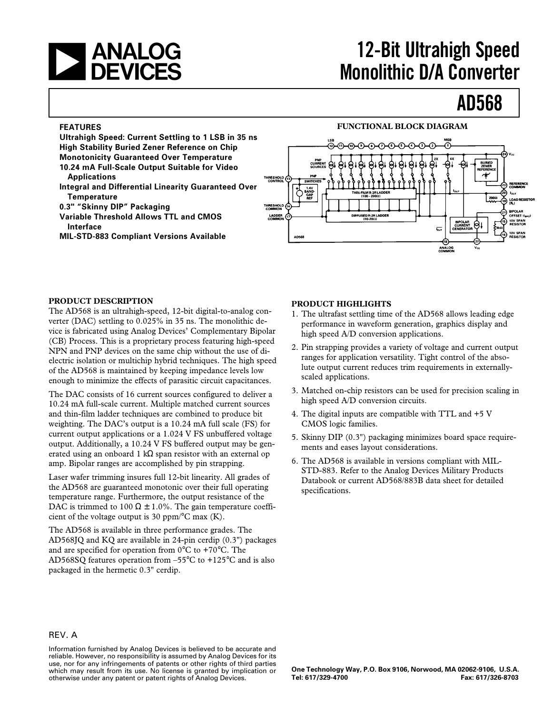

# **a 12-Bit Ultrahigh Speed<br>
CALCES** Monolithic D/A Converter **Monolithic D/A Converter**

# **AD568**

#### **FEATURES**

**Ultrahigh Speed: Current Settling to 1 LSB in 35 ns High Stability Buried Zener Reference on Chip Monotonicity Guaranteed Over Temperature 10.24 mA Full-Scale Output Suitable for Video Applications**

**Integral and Differential Linearity Guaranteed Over Temperature**

**0.3" "Skinny DIP" Packaging**

**Variable Threshold Allows TTL and CMOS Interface**

**MIL-STD-883 Compliant Versions Available**



**FUNCTIONAL BLOCK DIAGRAM**

#### **PRODUCT DESCRIPTION**

The AD568 is an ultrahigh-speed, 12-bit digital-to-analog converter (DAC) settling to 0.025% in 35 ns. The monolithic device is fabricated using Analog Devices' Complementary Bipolar (CB) Process. This is a proprietary process featuring high-speed NPN and PNP devices on the same chip without the use of dielectric isolation or multichip hybrid techniques. The high speed of the AD568 is maintained by keeping impedance levels low enough to minimize the effects of parasitic circuit capacitances.

The DAC consists of 16 current sources configured to deliver a 10.24 mA full-scale current. Multiple matched current sources and thin-film ladder techniques are combined to produce bit weighting. The DAC's output is a 10.24 mA full scale (FS) for current output applications or a 1.024 V FS unbuffered voltage output. Additionally, a 10.24 V FS buffered output may be generated using an onboard 1 kΩ span resistor with an external op amp. Bipolar ranges are accomplished by pin strapping.

Laser wafer trimming insures full 12-bit linearity. All grades of the AD568 are guaranteed monotonic over their full operating temperature range. Furthermore, the output resistance of the DAC is trimmed to 100  $\Omega \pm 1.0$ %. The gain temperature coefficient of the voltage output is 30 ppm/ $\rm ^{o}C$  max (K).

The AD568 is available in three performance grades. The AD568JQ and KQ are available in 24-pin cerdip (0.3") packages and are specified for operation from 0°C to +70°C. The AD568SQ features operation from –55°C to +125°C and is also packaged in the hermetic 0.3" cerdip.

#### **PRODUCT HIGHLIGHTS**

- 1. The ultrafast settling time of the AD568 allows leading edge performance in waveform generation, graphics display and high speed A/D conversion applications.
- 2. Pin strapping provides a variety of voltage and current output ranges for application versatility. Tight control of the absolute output current reduces trim requirements in externallyscaled applications.
- 3. Matched on-chip resistors can be used for precision scaling in high speed A/D conversion circuits.
- 4. The digital inputs are compatible with TTL and +5 V CMOS logic families.
- 5. Skinny DIP (0.3") packaging minimizes board space requirements and eases layout considerations.
- 6. The AD568 is available in versions compliant with MIL-STD-883. Refer to the Analog Devices Military Products Databook or current AD568/883B data sheet for detailed specifications.

#### REV. A

Information furnished by Analog Devices is believed to be accurate and reliable. However, no responsibility is assumed by Analog Devices for its use, nor for any infringements of patents or other rights of third parties which may result from its use. No license is granted by implication or otherwise under any patent or patent rights of Analog Devices.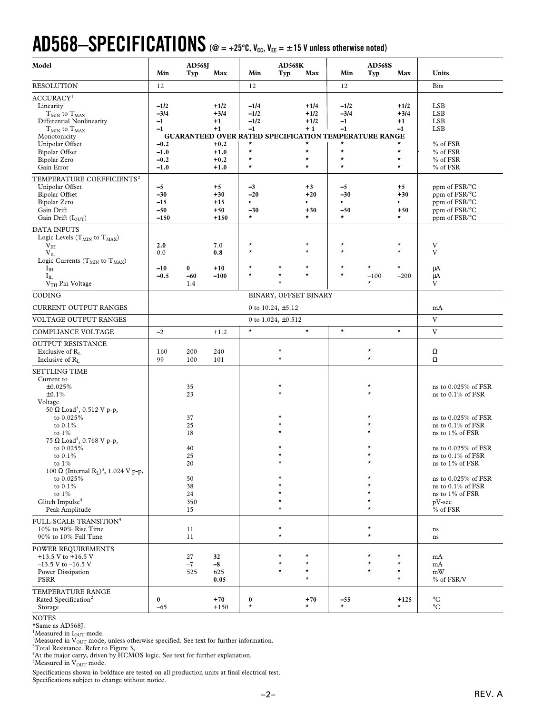# $AD568-SPECIFICATIONS$  ( $@ = +25^\circ$ C,  $V_{cc}$ ,  $V_{EE} = \pm 15$  V unless otherwise noted)

| Model                                                                                                                                                                                                                     | Min                                                                      | <b>AD568J</b><br>Typ     | Max                                                                      | Min                                                                            | <b>AD568K</b><br>Typ | Max                                                                       | Min                                                                                                                               | <b>AD568S</b><br>Typ          | Max                                                                | Units                                                                                                |
|---------------------------------------------------------------------------------------------------------------------------------------------------------------------------------------------------------------------------|--------------------------------------------------------------------------|--------------------------|--------------------------------------------------------------------------|--------------------------------------------------------------------------------|----------------------|---------------------------------------------------------------------------|-----------------------------------------------------------------------------------------------------------------------------------|-------------------------------|--------------------------------------------------------------------|------------------------------------------------------------------------------------------------------|
| <b>RESOLUTION</b>                                                                                                                                                                                                         | 12                                                                       |                          |                                                                          | 12                                                                             |                      |                                                                           | 12                                                                                                                                |                               |                                                                    | <b>Bits</b>                                                                                          |
| ACCURACY <sup>1</sup><br>Linearity<br>$T_{MIN}$ to $T_{MAX}$<br>Differential Nonlinearity<br>${\rm T_{MIN}}$ to ${\rm T_{MAX}}$<br>Monotonicity<br>Unipolar Offset<br><b>Bipolar Offset</b><br>Bipolar Zero<br>Gain Error | $-1/2$<br>$-3/4$<br>$-1$<br>$-1$<br>$-0.2$<br>$-1.0$<br>$-0.2$<br>$-1.0$ |                          | $+1/2$<br>$+3/4$<br>$+1$<br>$+1$<br>$+0.2$<br>$+1.0$<br>$+0.2$<br>$+1.0$ | $-1/4$<br>$-1/2$<br>$-1/2$<br>$-1$<br>$\star$<br>$\star$<br>$\star$<br>$\star$ |                      | $+1/4$<br>$+1/2$<br>$+1/2$<br>$+1$<br>*<br>$\star$<br>$^\star$<br>$\star$ | $-1/2$<br>$-3/4$<br>$-1$<br>$-1$<br><b>GUARANTEED OVER RATED SPECIFICATION TEMPERATURE RANGE</b><br>$\star$<br>$\star$<br>$\star$ |                               | $+1/2$<br>$+3/4$<br>$+1$<br>$-1$<br>$\star$<br>$^\star$<br>$\star$ | <b>LSB</b><br><b>LSB</b><br><b>LSB</b><br><b>LSB</b><br>% of FSR<br>% of FSR<br>% of FSR<br>% of FSR |
| TEMPERATURE COEFFICIENTS <sup>2</sup><br>Unipolar Offset<br><b>Bipolar Offset</b><br>Bipolar Zero<br>Gain Drift<br>Gain Drift (IOUT)                                                                                      | $-5$<br>$-30$<br>$-15$<br>$-50$<br>$-150$                                |                          | $+5$<br>$+30$<br>$+15$<br>$+50$<br>$+150$                                | $-3$<br>$-20$<br>$\bullet$<br>$-30$<br>$\star$                                 |                      | $+3$<br>$+20$<br>$\bullet$<br>$+30$<br>$\star$                            | $-5$<br>$-30$<br>$\bullet$<br>$-50$<br>$\star$                                                                                    |                               | $+5$<br>$+30$<br>$\bullet$<br>$+50$<br>$\star$                     | ppm of FSR/°C<br>ppm of FSR/°C<br>ppm of FSR/°C<br>ppm of FSR/°C<br>ppm of FSR/°C                    |
| <b>DATA INPUTS</b><br>Logic Levels ( $T_{MIN}$ to $T_{MAX}$ )<br>V <sub>IH</sub><br>$V_{IL}$<br>Logic Currents ( $T_{MIN}$ to $T_{MAX}$ )<br>$I_{IH}$<br>$I_{IL}$<br>V <sub>TH</sub> Pin Voltage                          | 2.0<br>0.0<br>$-10$<br>$-0.5$                                            | $\bf{0}$<br>$-60$<br>1.4 | 7.0<br>0.8<br>$+10$<br>$-100$                                            | $\star$<br>$\star$<br>$^\star$<br>$^\star$                                     | $^\star$<br>$^\star$ | $\star$<br>$\star$<br>$\star$<br>$\star$                                  | $\star$<br>$\star$<br>$\star$<br>$\star$                                                                                          | $^\star$<br>$-100$<br>$\star$ | $\star$<br>$\star$<br>$\star$<br>$-200$                            | V<br>V<br>μA<br>μA<br>V                                                                              |
| CODING                                                                                                                                                                                                                    | BINARY, OFFSET BINARY                                                    |                          |                                                                          |                                                                                |                      |                                                                           |                                                                                                                                   |                               |                                                                    |                                                                                                      |
| CURRENT OUTPUT RANGES                                                                                                                                                                                                     | 0 to $10.24, \pm 5.12$                                                   |                          |                                                                          |                                                                                |                      |                                                                           | mA                                                                                                                                |                               |                                                                    |                                                                                                      |
| VOLTAGE OUTPUT RANGES                                                                                                                                                                                                     | 0 to 1.024, $\pm$ 0.512                                                  |                          |                                                                          |                                                                                |                      |                                                                           | V                                                                                                                                 |                               |                                                                    |                                                                                                      |
| COMPLIANCE VOLTAGE                                                                                                                                                                                                        | $-2$                                                                     |                          | $+1.2$                                                                   | $\star$                                                                        |                      | $\star$                                                                   | $\star$                                                                                                                           |                               | $\star$                                                            | V                                                                                                    |
| OUTPUT RESISTANCE<br>Exclusive of $R_L$<br>Inclusive of $R_L$                                                                                                                                                             | 160<br>99                                                                | 200<br>100               | 240<br>101                                                               |                                                                                | $^\star$<br>$\star$  |                                                                           |                                                                                                                                   | $^\star$<br>$\star$           |                                                                    | Ω<br>$\Omega$                                                                                        |
| <b>SETTLING TIME</b><br>Current to<br>±0.025%<br>± 0.1%<br>Voltage<br>50 Ω Load <sup>3</sup> , 0.512 V p-p,                                                                                                               |                                                                          | 35<br>23                 |                                                                          |                                                                                |                      |                                                                           |                                                                                                                                   | $^\star$<br>$\star$           |                                                                    | ns to 0.025% of FSR<br>ns to 0.1% of FSR                                                             |
| to 0.025%<br>to $0.1\%$<br>to $1\%$<br>75 $\Omega$ Load <sup>3</sup> , 0.768 V p-p,<br>to 0.025%                                                                                                                          |                                                                          | 37<br>25<br>18<br>40     |                                                                          |                                                                                |                      |                                                                           |                                                                                                                                   | $^\star$                      |                                                                    | ns to 0.025% of FSR<br>ns to 0.1% of FSR<br>ns to 1% of FSR<br>ns to 0.025% of FSR                   |
| to $0.1\%$<br>to $1\%$<br>100 Ω (Internal R <sub>L</sub> ) <sup>3</sup> , 1.024 V p-p,<br>to 0.025%                                                                                                                       |                                                                          | 25<br>20<br>50           |                                                                          |                                                                                |                      |                                                                           |                                                                                                                                   |                               |                                                                    | ns to 0.1% of FSR<br>ns to 1% of FSR<br>ns to 0.025% of FSR                                          |
| to $0.1\%$<br>to $1\%$<br>Glitch Impulse <sup>4</sup><br>Peak Amplitude                                                                                                                                                   |                                                                          | 38<br>24<br>350<br>15    |                                                                          |                                                                                | $^\star$             |                                                                           |                                                                                                                                   | $\star$                       |                                                                    | ns to 0.1% of FSR<br>ns to 1% of FSR<br>pV-sec<br>$%$ of FSR                                         |
| FULL-SCALE TRANSITION <sup>5</sup><br>10% to 90% Rise Time<br>90% to 10% Fall Time                                                                                                                                        |                                                                          | 11<br>11                 |                                                                          |                                                                                | $^\star$<br>$\star$  |                                                                           |                                                                                                                                   | $\star$<br>$\star$            |                                                                    | ns<br>ns                                                                                             |
| POWER REQUIREMENTS<br>+13.5 V to +16.5 V<br>$-13.5$ V to $-16.5$ V<br>Power Dissipation<br>PSRR                                                                                                                           |                                                                          | 27<br>$-7$<br>525        | 32<br>$-8$<br>625<br>0.05                                                |                                                                                | $\star$              | $^\star$<br>$^{\star}$<br>$^\star$<br>$\star$                             |                                                                                                                                   | $\star$<br>$\star$<br>$\star$ | $\star$<br>$\star$<br>$\star$<br>$\star$                           | mA<br>mA<br>mW<br>$\%$ of FSR/V                                                                      |
| TEMPERATURE RANGE<br>Rated Specification <sup>2</sup><br>Storage                                                                                                                                                          | $\bf{0}$<br>$-65$                                                        |                          | $+70$<br>$+150$                                                          | 0<br>$\star$                                                                   |                      | $+70$<br>$^\star$                                                         | $-55$<br>$\star$                                                                                                                  |                               | $+125$<br>$\star$                                                  | $^{\circ}C$<br>$^{\circ}C$                                                                           |

NOTES

\*Same as AD568J.<br><sup>1</sup>Measured in I<sub>OUT</sub> mode.<br><sup>2</sup>Measured in V

<sup>2</sup>Measured in V<sub>OUT</sub> mode, unless otherwise specified. See text for further information.<br><sup>3</sup>Total Resistance. Refer to Figure 3,<br><sup>4</sup>At the major carry, driven by HCMOS logic. See text for further explanation.

 $5$ Measured in  $V_{\text{OUT}}$  mode.

Specifications shown in boldface are tested on all production units at final electrical test. Specifications subject to change without notice.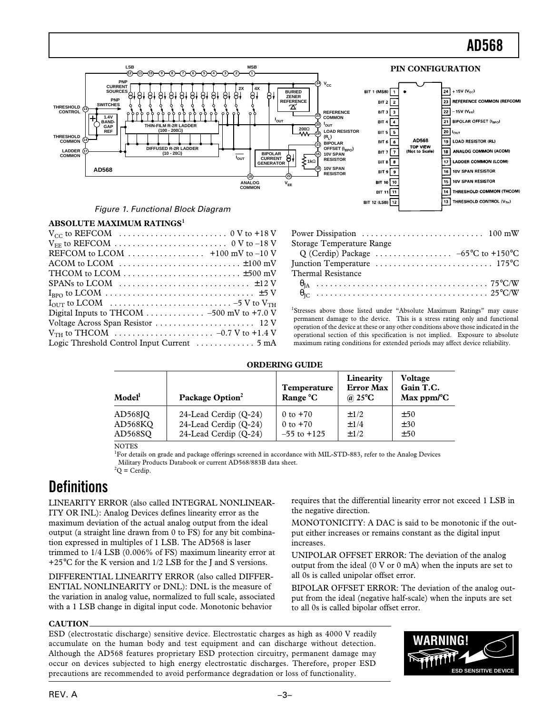

#### **ABSOLUTE MAXIMUM RATINGS<sup>1</sup>**

| REFCOM to LCOM $\dots\dots\dots\dots\dots\dots$ +100 mV to -10 V                                                  |
|-------------------------------------------------------------------------------------------------------------------|
|                                                                                                                   |
| THCOM to LCOM $\dots\dots\dots\dots\dots\dots\dots\dots\dots\dots\dots$                                           |
| SPANs to LCOM $\dots\dots\dots\dots\dots\dots\dots\dots\dots\dots\dots\dots$                                      |
|                                                                                                                   |
| $I_{\text{OUT}}$ to LCOM $\ldots \ldots \ldots \ldots \ldots \ldots \ldots \ldots \ldots -5$ V to $V_{\text{TH}}$ |
| Digital Inputs to THCOM 500 mV to +7.0 V                                                                          |
|                                                                                                                   |
|                                                                                                                   |
| Logic Threshold Control Input Current $\dots\dots\dots\dots$ 5 mA                                                 |
|                                                                                                                   |

| Power Dissipation $\dots\dots\dots\dots\dots\dots\dots\dots$ 100 mW                                              |  |
|------------------------------------------------------------------------------------------------------------------|--|
| Storage Temperature Range                                                                                        |  |
|                                                                                                                  |  |
| Junction Temperature $\dots \dots \dots \dots \dots \dots \dots \dots \dots \dots \dots \dots \dots \dots \dots$ |  |
| Thermal Resistance                                                                                               |  |
|                                                                                                                  |  |
|                                                                                                                  |  |

<sup>1</sup>Stresses above those listed under "Absolute Maximum Ratings" may cause permanent damage to the device. This is a stress rating only and functional operation of the device at these or any other conditions above those indicated in the operational section of this specification is not implied. Exposure to absolute maximum rating conditions for extended periods may affect device reliability.

requires that the differential linearity error not exceed 1 LSB in

MONOTONICITY: A DAC is said to be monotonic if the output either increases or remains constant as the digital input

UNIPOLAR OFFSET ERROR: The deviation of the analog output from the ideal (0 V or 0 mA) when the inputs are set to

BIPOLAR OFFSET ERROR: The deviation of the analog output from the ideal (negative half-scale) when the inputs are set

#### **ORDERING GUIDE**

| Model <sup>l</sup> | Package Option <sup>2</sup> | <b>Temperature</b><br>Range °C | Linearity<br><b>Error Max</b><br>@ 25 $\mathrm{^{\circ}C}$ | <b>Voltage</b><br>Gain T.C.<br>Max $ppm$ <sup>o</sup> C |
|--------------------|-----------------------------|--------------------------------|------------------------------------------------------------|---------------------------------------------------------|
| AD568JO            | 24-Lead Cerdip (O-24)       | 0 to $+70$                     | $\pm$ 1/2                                                  | ±50                                                     |
| AD568KO            | 24-Lead Cerdip (O-24)       | 0 to $+70$                     | $\pm$ 1/4                                                  | ±30                                                     |
| AD568SO            | 24-Lead Cerdip (O-24)       | $-55$ to $+125$                | $\pm$ 1/2                                                  | ±50                                                     |

**NOTES** 

<sup>1</sup>For details on grade and package offerings screened in accordance with MIL-STD-883, refer to the Analog Devices Military Products Databook or current AD568/883B data sheet.  ${}^{2}Q$  = Cerdip.

the negative direction.

all 0s is called unipolar offset error.

to all 0s is called bipolar offset error.

increases.

# **Definitions**

LINEARITY ERROR (also called INTEGRAL NONLINEAR-ITY OR INL): Analog Devices defines linearity error as the maximum deviation of the actual analog output from the ideal output (a straight line drawn from 0 to FS) for any bit combination expressed in multiples of 1 LSB. The AD568 is laser trimmed to 1/4 LSB (0.006% of FS) maximum linearity error at +25°C for the K version and 1/2 LSB for the J and S versions.

DIFFERENTIAL LINEARITY ERROR (also called DIFFER-ENTIAL NONLINEARITY or DNL): DNL is the measure of the variation in analog value, normalized to full scale, associated with a 1 LSB change in digital input code. Monotonic behavior

#### **CAUTION**

ESD (electrostatic discharge) sensitive device. Electrostatic charges as high as 4000 V readily accumulate on the human body and test equipment and can discharge without detection. Although the AD568 features proprietary ESD protection circuitry, permanent damage may occur on devices subjected to high energy electrostatic discharges. Therefore, proper ESD precautions are recommended to avoid performance degradation or loss of functionality.

**WARNING! ESD SENSITIVE DEVIC**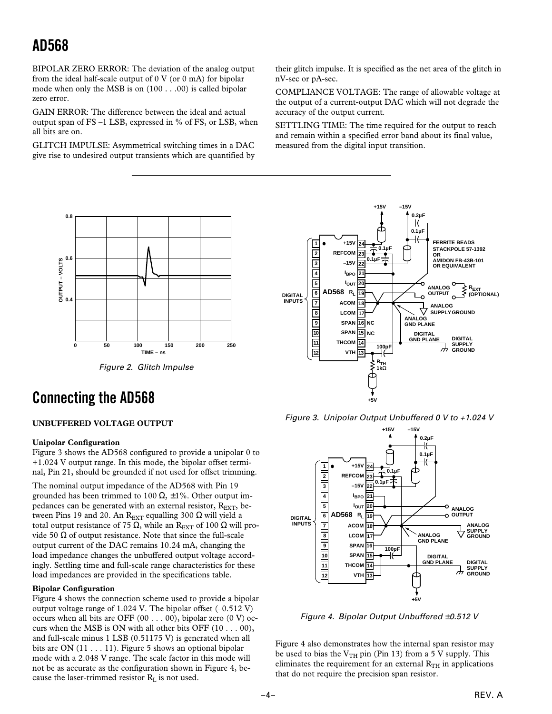BIPOLAR ZERO ERROR: The deviation of the analog output from the ideal half-scale output of 0 V (or 0 mA) for bipolar mode when only the MSB is on (100 . . .00) is called bipolar zero error.

GAIN ERROR: The difference between the ideal and actual output span of FS –1 LSB, expressed in % of FS, or LSB, when all bits are on.

GLITCH IMPULSE: Asymmetrical switching times in a DAC give rise to undesired output transients which are quantified by

their glitch impulse. It is specified as the net area of the glitch in nV-sec or pA-sec.

COMPLIANCE VOLTAGE: The range of allowable voltage at the output of a current-output DAC which will not degrade the accuracy of the output current.

SETTLING TIME: The time required for the output to reach and remain within a specified error band about its final value, measured from the digital input transition.



# **Connecting the AD568**

#### **UNBUFFERED VOLTAGE OUTPUT**

#### **Unipolar Configuration**

Figure 3 shows the AD568 configured to provide a unipolar 0 to +1.024 V output range. In this mode, the bipolar offset terminal, Pin 21, should be grounded if not used for offset trimming.

The nominal output impedance of the AD568 with Pin 19 grounded has been trimmed to 100  $\Omega$ ,  $\pm$ 1%. Other output impedances can be generated with an external resistor,  $R_{\text{EXT}}$ , between Pins 19 and 20. An R<sub>EXT</sub> equalling 300 Ω will yield a total output resistance of 75 Ω, while an R<sub>EXT</sub> of 100 Ω will provide 50  $\Omega$  of output resistance. Note that since the full-scale output current of the DAC remains 10.24 mA, changing the load impedance changes the unbuffered output voltage accordingly. Settling time and full-scale range characteristics for these load impedances are provided in the specifications table.

#### **Bipolar Configuration**

Figure 4 shows the connection scheme used to provide a bipolar output voltage range of 1.024 V. The bipolar offset (–0.512 V) occurs when all bits are OFF  $(00 \dots 00)$ , bipolar zero  $(0 V)$  occurs when the MSB is ON with all other bits OFF  $(10 \ldots 00)$ , and full-scale minus 1 LSB (0.51175 V) is generated when all bits are ON (11 . . . 11). Figure 5 shows an optional bipolar mode with a 2.048 V range. The scale factor in this mode will not be as accurate as the configuration shown in Figure 4, because the laser-trimmed resistor  $R_L$  is not used.



Figure 3. Unipolar Output Unbuffered 0 V to +1.024 V



Figure 4. Bipolar Output Unbuffered ±0.512 V

Figure 4 also demonstrates how the internal span resistor may be used to bias the  $V<sub>TH</sub>$  pin (Pin 13) from a 5 V supply. This eliminates the requirement for an external  $R<sub>TH</sub>$  in applications that do not require the precision span resistor.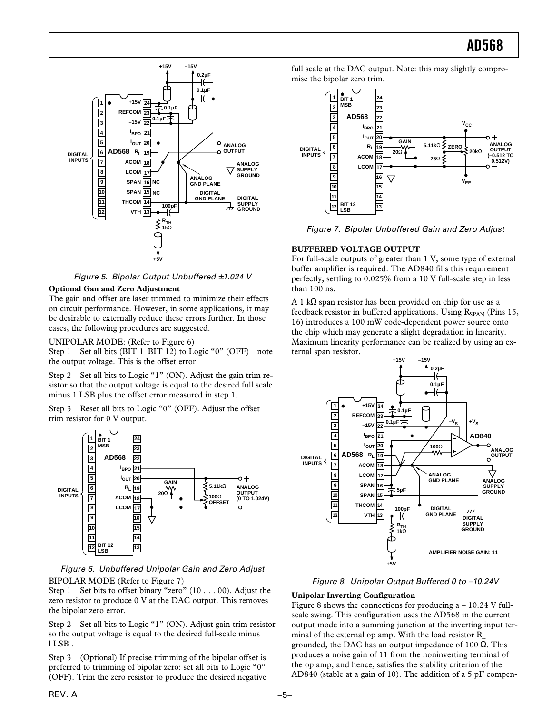

Figure 5. Bipolar Output Unbuffered ±1.024 V

#### **Optional Gan and Zero Adjustment**

The gain and offset are laser trimmed to minimize their effects on circuit performance. However, in some applications, it may be desirable to externally reduce these errors further. In those cases, the following procedures are suggested.

UNIPOLAR MODE: (Refer to Figure 6)

Step 1 – Set all bits (BIT 1–BIT 12) to Logic "0" (OFF)—note the output voltage. This is the offset error.

Step 2 – Set all bits to Logic "1" (ON). Adjust the gain trim resistor so that the output voltage is equal to the desired full scale minus 1 LSB plus the offset error measured in step 1.

Step 3 – Reset all bits to Logic "0" (OFF). Adjust the offset trim resistor for 0 V output.



Figure 6. Unbuffered Unipolar Gain and Zero Adjust BIPOLAR MODE (Refer to Figure 7)

Step 1 – Set bits to offset binary "zero" (10 . . . 00). Adjust the zero resistor to produce 0 V at the DAC output. This removes the bipolar zero error.

Step 2 – Set all bits to Logic "1" (ON). Adjust gain trim resistor so the output voltage is equal to the desired full-scale minus l LSB .

Step 3 – (Optional) If precise trimming of the bipolar offset is preferred to trimming of bipolar zero: set all bits to Logic "0" (OFF). Trim the zero resistor to produce the desired negative full scale at the DAC output. Note: this may slightly compromise the bipolar zero trim.



Figure 7. Bipolar Unbuffered Gain and Zero Adjust

#### **BUFFERED VOLTAGE OUTPUT**

For full-scale outputs of greater than 1 V, some type of external buffer amplifier is required. The AD840 fills this requirement perfectly, settling to 0.025% from a 10 V full-scale step in less than 100 ns.

A 1 kΩ span resistor has been provided on chip for use as a feedback resistor in buffered applications. Using  $R_{SPAN}$  (Pins 15, 16) introduces a 100 mW code-dependent power source onto the chip which may generate a slight degradation in linearity. Maximum linearity performance can be realized by using an external span resistor.



#### Figure 8. Unipolar Output Buffered 0 to –10.24V

#### **Unipolar Inverting Configuration**

Figure 8 shows the connections for producing  $a - 10.24$  V fullscale swing. This configuration uses the AD568 in the current output mode into a summing junction at the inverting input terminal of the external op amp. With the load resistor  $R_L$ grounded, the DAC has an output impedance of 100 Ω. This produces a noise gain of 11 from the noninverting terminal of the op amp, and hence, satisfies the stability criterion of the AD840 (stable at a gain of 10). The addition of a 5 pF compen-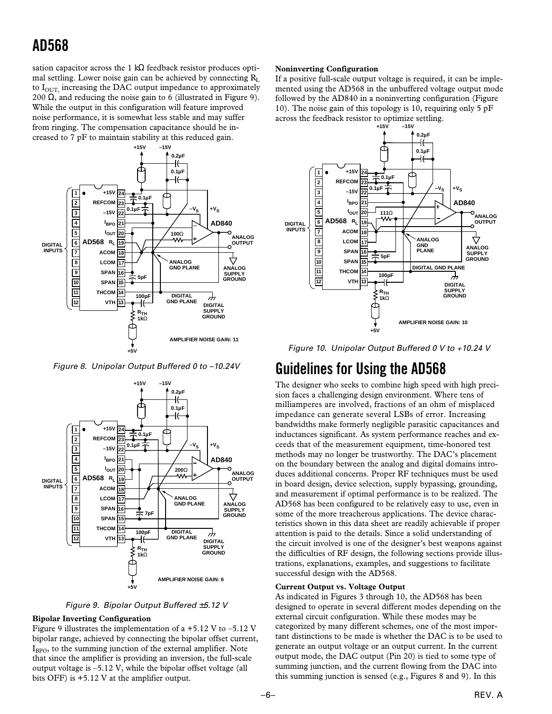sation capacitor across the 1 kΩ feedback resistor produces optimal settling. Lower noise gain can be achieved by connecting  $R_L$ to  $I<sub>OUT</sub>$  increasing the DAC output impedance to approximately 200  $\Omega$ , and reducing the noise gain to 6 (illustrated in Figure 9). While the output in this configuration will feature improved noise performance, it is somewhat less stable and may suffer from ringing. The compensation capacitance should be increased to 7 pF to maintain stability at this reduced gain.



Figure 8. Unipolar Output Buffered 0 to –10.24V



Figure 9. Bipolar Output Buffered ±5.12 V

#### **Bipolar Inverting Configuration**

Figure 9 illustrates the implementation of a  $+5.12$  V to  $-5.12$  V bipolar range, achieved by connecting the bipolar offset current,  $I<sub>BPO</sub>$ , to the summing junction of the external amplifier. Note that since the amplifier is providing an inversion, the full-scale output voltage is –5.12 V, while the bipolar offset voltage (all bits OFF) is +5.12 V at the amplifier output.

#### **Noninverting Configuration**

If a positive full-scale output voltage is required, it can be implemented using the AD568 in the unbuffered voltage output mode followed by the AD840 in a noninverting configuration (Figure 10). The noise gain of this topology is 10, requiring only 5 pF across the feedback resistor to optimize settling.<br> $+15V = -15V$ 



Figure 10. Unipolar Output Buffered 0 V to +10.24 V

### **Guidelines for Using the AD568**

The designer who seeks to combine high speed with high precision faces a challenging design environment. Where tens of milliamperes are involved, fractions of an ohm of misplaced impedance can generate several LSBs of error. Increasing bandwidths make formerly negligible parasitic capacitances and inductances significant. As system performance reaches and exceeds that of the measurement equipment, time-honored test methods may no longer be trustworthy. The DAC's placement on the boundary between the analog and digital domains introduces additional concerns. Proper RF techniques must be used in board design, device selection, supply bypassing, grounding, and measurement if optimal performance is to be realized. The AD568 has been configured to be relatively easy to use, even in some of the more treacherous applications. The device characteristics shown in this data sheet are readily achievable if proper attention is paid to the details. Since a solid understanding of the circuit involved is one of the designer's best weapons against the difficulties of RF design, the following sections provide illustrations, explanations, examples, and suggestions to facilitate successful design with the AD568.

#### **Current Output vs. Voltage Output**

As indicated in Figures 3 through 10, the AD568 has been designed to operate in several different modes depending on the external circuit configuration. While these modes may be categorized by many different schemes, one of the most important distinctions to be made is whether the DAC is to be used to generate an output voltage or an output current. In the current output mode, the DAC output (Pin 20) is tied to some type of summing junction, and the current flowing from the DAC into this summing junction is sensed (e.g., Figures 8 and 9). In this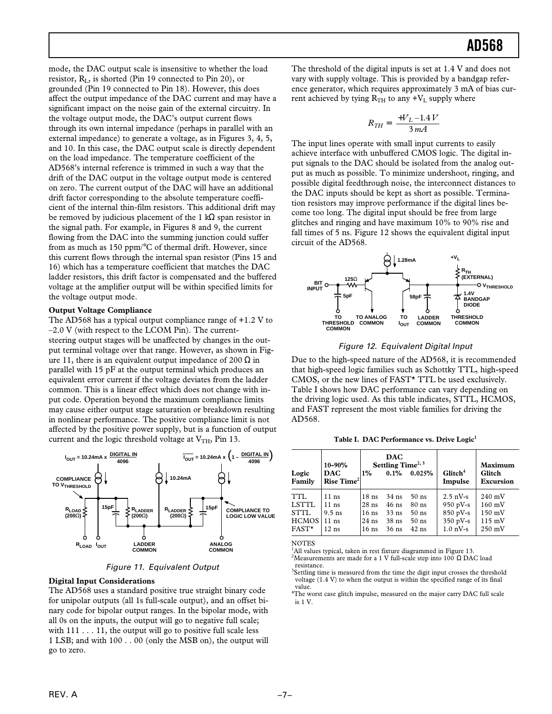mode, the DAC output scale is insensitive to whether the load resistor,  $R_{I}$ , is shorted (Pin 19 connected to Pin 20), or grounded (Pin 19 connected to Pin 18). However, this does affect the output impedance of the DAC current and may have a significant impact on the noise gain of the external circuitry. In the voltage output mode, the DAC's output current flows through its own internal impedance (perhaps in parallel with an external impedance) to generate a voltage, as in Figures 3, 4, 5, and 10. In this case, the DAC output scale is directly dependent on the load impedance. The temperature coefficient of the AD568's internal reference is trimmed in such a way that the drift of the DAC output in the voltage output mode is centered on zero. The current output of the DAC will have an additional drift factor corresponding to the absolute temperature coefficient of the internal thin-film resistors. This additional drift may be removed by judicious placement of the 1 kΩ span resistor in the signal path. For example, in Figures 8 and 9, the current flowing from the DAC into the summing junction could suffer from as much as 150 ppm/°C of thermal drift. However, since this current flows through the internal span resistor (Pins 15 and 16) which has a temperature coefficient that matches the DAC ladder resistors, this drift factor is compensated and the buffered voltage at the amplifier output will be within specified limits for the voltage output mode.

#### **Output Voltage Compliance**

The AD568 has a typical output compliance range of +1.2 V to  $-2.0$  V (with respect to the LCOM Pin). The currentsteering output stages will be unaffected by changes in the output terminal voltage over that range. However, as shown in Figure 11, there is an equivalent output impedance of 200  $\Omega$  in parallel with 15 pF at the output terminal which produces an equivalent error current if the voltage deviates from the ladder common. This is a linear effect which does not change with input code. Operation beyond the maximum compliance limits may cause either output stage saturation or breakdown resulting in nonlinear performance. The positive compliance limit is not affected by the positive power supply, but is a function of output current and the logic threshold voltage at  $V<sub>TH</sub>$ , Pin 13.



Figure 11. Equivalent Output

#### **Digital Input Considerations**

The AD568 uses a standard positive true straight binary code for unipolar outputs (all 1s full-scale output), and an offset binary code for bipolar output ranges. In the bipolar mode, with all 0s on the inputs, the output will go to negative full scale; with  $111 \ldots 11$ , the output will go to positive full scale less 1 LSB; and with 100 . . 00 (only the MSB on), the output will go to zero.

The threshold of the digital inputs is set at 1.4 V and does not vary with supply voltage. This is provided by a bandgap reference generator, which requires approximately 3 mA of bias current achieved by tying  $R_{TH}$  to any  $+V_L$  supply where

$$
R_{TH} = \left(\frac{+V_L - 1.4 V}{3 mA}\right)
$$

The input lines operate with small input currents to easily achieve interface with unbuffered CMOS logic. The digital input signals to the DAC should be isolated from the analog output as much as possible. To minimize undershoot, ringing, and possible digital feedthrough noise, the interconnect distances to the DAC inputs should be kept as short as possible. Termination resistors may improve performance if the digital lines become too long. The digital input should be free from large glitches and ringing and have maximum 10% to 90% rise and fall times of 5 ns. Figure 12 shows the equivalent digital input circuit of the AD568.



#### Figure 12. Equivalent Digital Input

Due to the high-speed nature of the AD568, it is recommended that high-speed logic families such as Schottky TTL, high-speed CMOS, or the new lines of FAST\* TTL be used exclusively. Table I shows how DAC performance can vary depending on the driving logic used. As this table indicates, STTL, HCMOS, and FAST represent the most viable families for driving the AD568.

Table I. DAC Performance vs. Drive Logic<sup>1</sup>

| Logic<br>Family | $10 - 90%$<br><b>DAC</b><br>Rise Time <sup>2</sup> | $1\%$            | <b>DAC</b><br>Settling Time <sup>2, 3</sup><br>$0.1\%$ | 0.025%  | $G$ litch <sup>4</sup><br>Impulse | Maximum<br>Glitch<br>Excursion |
|-----------------|----------------------------------------------------|------------------|--------------------------------------------------------|---------|-----------------------------------|--------------------------------|
| TTL             | $11$ ns                                            | 18 <sub>ns</sub> | $34$ ns                                                | $50$ ns | $2.5 \text{ nV-s}$                | $240 \text{ mV}$               |
| <b>LSTTL</b>    | $11$ ns                                            | $28$ ns          | $46$ ns                                                | $80$ ns | 950 pV-s                          | $160$ mV                       |
| STTL            | $9.5$ ns                                           | $16$ ns          | $33$ ns                                                | $50$ ns | $850$ pV-s                        | $150 \text{ mV}$               |
| HCMOS           | $11$ ns                                            | $24$ ns          | $38$ ns                                                | $50$ ns | $350$ pV-s                        | $115 \text{ mV}$               |
| $FAST*$         | $12$ ns                                            | $16$ ns          | $36$ ns                                                | $42$ ns | $1.0 \text{ nV-s}$                | $250$ mV                       |

**NOTES** 

<sup>&</sup>lt;sup>1</sup>All values typical, taken in rest fixture diagrammed in Figure 13.

<sup>&</sup>lt;sup>2</sup>Measurements are made for a 1 V full-scale step into 100  $\Omega$  DAC load resistance.

<sup>&</sup>lt;sup>3</sup>Settling time is measured from the time the digit input crosses the threshold voltage (1.4 V) to when the output is within the specified range of its final value.

<sup>&</sup>lt;sup>4</sup>The worst case glitch impulse, measured on the major carry DAC full scale is 1 V.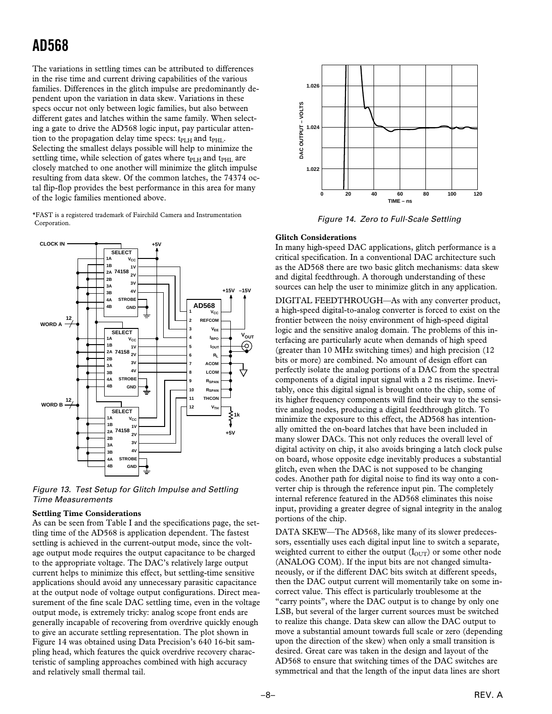The variations in settling times can be attributed to differences in the rise time and current driving capabilities of the various families. Differences in the glitch impulse are predominantly dependent upon the variation in data skew. Variations in these specs occur not only between logic families, but also between different gates and latches within the same family. When selecting a gate to drive the AD568 logic input, pay particular attention to the propagation delay time specs: t<sub>PLH</sub> and t<sub>PHL</sub>. Selecting the smallest delays possible will help to minimize the settling time, while selection of gates where t<sub>PLH</sub> and t<sub>PHL</sub> are closely matched to one another will minimize the glitch impulse resulting from data skew. Of the common latches, the 74374 octal flip-flop provides the best performance in this area for many of the logic families mentioned above.

\*FAST is a registered trademark of Fairchild Camera and Instrumentation Corporation.



Figure 13. Test Setup for Glitch Impulse and Settling Time Measurements

#### **Settling Time Considerations**

As can be seen from Table I and the specifications page, the settling time of the AD568 is application dependent. The fastest settling is achieved in the current-output mode, since the voltage output mode requires the output capacitance to be charged to the appropriate voltage. The DAC's relatively large output current helps to minimize this effect, but settling-time sensitive applications should avoid any unnecessary parasitic capacitance at the output node of voltage output configurations. Direct measurement of the fine scale DAC settling time, even in the voltage output mode, is extremely tricky: analog scope front ends are generally incapable of recovering from overdrive quickly enough to give an accurate settling representation. The plot shown in Figure 14 was obtained using Data Precision's 640 16-bit sampling head, which features the quick overdrive recovery characteristic of sampling approaches combined with high accuracy and relatively small thermal tail.



Figure 14. Zero to Full-Scale Settling

#### **Glitch Considerations**

In many high-speed DAC applications, glitch performance is a critical specification. In a conventional DAC architecture such as the AD568 there are two basic glitch mechanisms: data skew and digital feedthrough. A thorough understanding of these sources can help the user to minimize glitch in any application.

DIGITAL FEEDTHROUGH—As with any converter product, a high-speed digital-to-analog converter is forced to exist on the frontier between the noisy environment of high-speed digital logic and the sensitive analog domain. The problems of this interfacing are particularly acute when demands of high speed (greater than 10 MHz switching times) and high precision (12 bits or more) are combined. No amount of design effort can perfectly isolate the analog portions of a DAC from the spectral components of a digital input signal with a 2 ns risetime. Inevitably, once this digital signal is brought onto the chip, some of its higher frequency components will find their way to the sensitive analog nodes, producing a digital feedthrough glitch. To minimize the exposure to this effect, the AD568 has intentionally omitted the on-board latches that have been included in many slower DACs. This not only reduces the overall level of digital activity on chip, it also avoids bringing a latch clock pulse on board, whose opposite edge inevitably produces a substantial glitch, even when the DAC is not supposed to be changing codes. Another path for digital noise to find its way onto a converter chip is through the reference input pin. The completely internal reference featured in the AD568 eliminates this noise input, providing a greater degree of signal integrity in the analog portions of the chip.

DATA SKEW—The AD568, like many of its slower predecessors, essentially uses each digital input line to switch a separate, weighted current to either the output  $(I<sub>OUT</sub>)$  or some other node (ANALOG COM). If the input bits are not changed simultaneously, or if the different DAC bits switch at different speeds, then the DAC output current will momentarily take on some incorrect value. This effect is particularly troublesome at the "carry points", where the DAC output is to change by only one LSB, but several of the larger current sources must be switched to realize this change. Data skew can allow the DAC output to move a substantial amount towards full scale or zero (depending upon the direction of the skew) when only a small transition is desired. Great care was taken in the design and layout of the AD568 to ensure that switching times of the DAC switches are symmetrical and that the length of the input data lines are short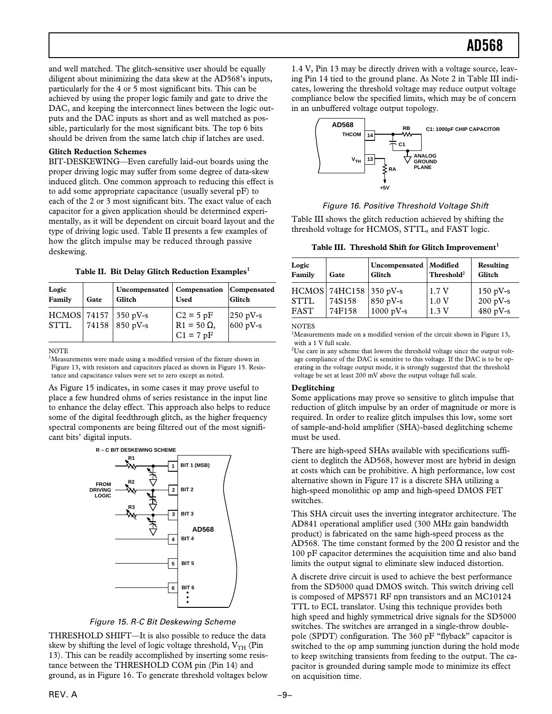and well matched. The glitch-sensitive user should be equally diligent about minimizing the data skew at the AD568's inputs, particularly for the 4 or 5 most significant bits. This can be achieved by using the proper logic family and gate to drive the DAC, and keeping the interconnect lines between the logic outputs and the DAC inputs as short and as well matched as possible, particularly for the most significant bits. The top 6 bits should be driven from the same latch chip if latches are used.

#### **Glitch Reduction Schemes**

BIT-DESKEWING—Even carefully laid-out boards using the proper driving logic may suffer from some degree of data-skew induced glitch. One common approach to reducing this effect is to add some appropriate capacitance (usually several pF) to each of the 2 or 3 most significant bits. The exact value of each capacitor for a given application should be determined experimentally, as it will be dependent on circuit board layout and the type of driving logic used. Table II presents a few examples of how the glitch impulse may be reduced through passive deskewing.

**Table II. Bit Delay Glitch Reduction Examples<sup>1</sup>**

| Logic<br>Family | Gate | Uncompensated   Compensation<br>Glitch     | <b>Used</b>                                                     | Compensated<br>Glitch                                               |
|-----------------|------|--------------------------------------------|-----------------------------------------------------------------|---------------------------------------------------------------------|
| <b>STTL</b>     |      | $HCMOS$ 74157 350 pV-s<br>74158   850 pV-s | $C2 = 5pF$<br>$R1 = 50 \Omega$<br>$\mathrm{C1} = 7 \mathrm{pF}$ | $\begin{array}{c} 250 \text{ pV-s} \\ 600 \text{ pV-s} \end{array}$ |

NOTE

<sup>1</sup>Measurements were made using a modified version of the fixture shown in Figure 13, with resistors and capacitors placed as shown in Figure 15. Resistance and capacitance values were set to zero except as noted.

As Figure 15 indicates, in some cases it may prove useful to place a few hundred ohms of series resistance in the input line to enhance the delay effect. This approach also helps to reduce some of the digital feedthrough glitch, as the higher frequency spectral components are being filtered out of the most significant bits' digital inputs.



Figure 15. R-C Bit Deskewing Scheme

THRESHOLD SHIFT—It is also possible to reduce the data skew by shifting the level of logic voltage threshold,  $V_{TH}$  (Pin 13). This can be readily accomplished by inserting some resistance between the THRESHOLD COM pin (Pin 14) and ground, as in Figure 16. To generate threshold voltages below

1.4 V, Pin 13 may be directly driven with a voltage source, leaving Pin 14 tied to the ground plane. As Note 2 in Table III indicates, lowering the threshold voltage may reduce output voltage compliance below the specified limits, which may be of concern in an unbuffered voltage output topology.



#### Figure 16. Positive Threshold Voltage Shift

Table III shows the glitch reduction achieved by shifting the threshold voltage for HCMOS, STTL, and FAST logic.

**Table III. Threshold Shift for Glitch Improvement<sup>1</sup>**

| Logic               | Gate                                         | Uncompensated                   | Modified               | <b>Resulting</b>                     |
|---------------------|----------------------------------------------|---------------------------------|------------------------|--------------------------------------|
| Family              |                                              | Glitch                          | Threshold <sup>2</sup> | Glitch                               |
| STTL<br><b>FAST</b> | $HCMOS$ 74HC158 350 pV-s<br>74S158<br>74F158 | 850 pV-s<br>$1000 \text{ pV-s}$ | 1.7V<br>1.0V<br>1.3V   | $150$ pV-s<br>$200 pV-s$<br>480 pV-s |

**NOTES** 

<sup>1</sup>Measurements made on a modified version of the circuit shown in Figure 13, with a 1 V full scale.

 $2^2$ Use care in any scheme that lowers the threshold voltage since the output voltage compliance of the DAC is sensitive to this voltage. If the DAC is to be operating in the voltage output mode, it is strongly suggested that the threshold voltage be set at least 200 mV above the output voltage full scale.

#### **Deglitching**

Some applications may prove so sensitive to glitch impulse that reduction of glitch impulse by an order of magnitude or more is required. In order to realize glitch impulses this low, some sort of sample-and-hold amplifier (SHA)-based deglitching scheme must be used.

There are high-speed SHAs available with specifications sufficient to deglitch the AD568, however most are hybrid in design at costs which can be prohibitive. A high performance, low cost alternative shown in Figure 17 is a discrete SHA utilizing a high-speed monolithic op amp and high-speed DMOS FET switches.

This SHA circuit uses the inverting integrator architecture. The AD841 operational amplifier used (300 MHz gain bandwidth product) is fabricated on the same high-speed process as the AD568. The time constant formed by the 200  $\Omega$  resistor and the 100 pF capacitor determines the acquisition time and also band limits the output signal to eliminate slew induced distortion.

A discrete drive circuit is used to achieve the best performance from the SD5000 quad DMOS switch. This switch driving cell is composed of MPS571 RF npn transistors and an MC10124 TTL to ECL translator. Using this technique provides both high speed and highly symmetrical drive signals for the SD5000 switches. The switches are arranged in a single-throw doublepole (SPDT) configuration. The 360 pF "flyback" capacitor is switched to the op amp summing junction during the hold mode to keep switching transients from feeding to the output. The capacitor is grounded during sample mode to minimize its effect on acquisition time.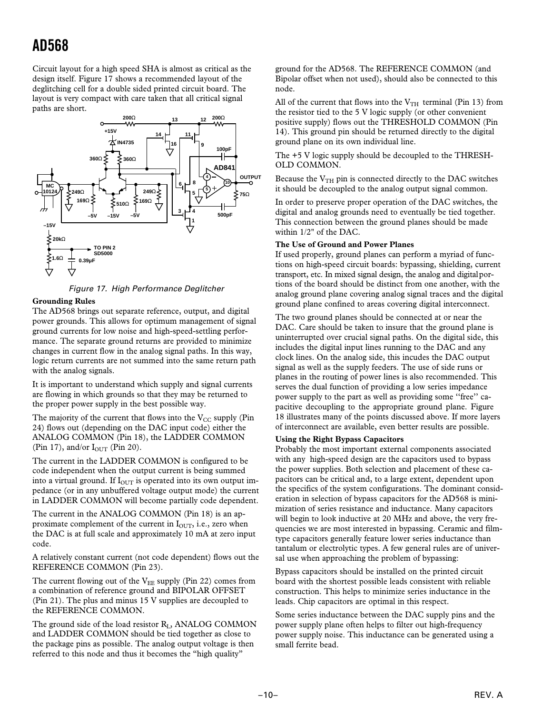Circuit layout for a high speed SHA is almost as critical as the design itself. Figure 17 shows a recommended layout of the deglitching cell for a double sided printed circuit board. The layout is very compact with care taken that all critical signal paths are short.



Figure 17. High Performance Deglitcher

#### **Grounding Rules**

The AD568 brings out separate reference, output, and digital power grounds. This allows for optimum management of signal ground currents for low noise and high-speed-settling performance. The separate ground returns are provided to minimize changes in current flow in the analog signal paths. In this way, logic return currents are not summed into the same return path with the analog signals.

It is important to understand which supply and signal currents are flowing in which grounds so that they may be returned to the proper power supply in the best possible way.

The majority of the current that flows into the  $V_{CC}$  supply (Pin 24) flows out (depending on the DAC input code) either the ANALOG COMMON (Pin 18), the LADDER COMMON (Pin 17), and/or  $I<sub>OUT</sub>$  (Pin 20).

The current in the LADDER COMMON is configured to be code independent when the output current is being summed into a virtual ground. If  $I_{\text{OUT}}$  is operated into its own output impedance (or in any unbuffered voltage output mode) the current in LADDER COMMON will become partially code dependent.

The current in the ANALOG COMMON (Pin 18) is an approximate complement of the current in  $I_{\text{OUT}}$ , i.e., zero when the DAC is at full scale and approximately 10 mA at zero input code.

A relatively constant current (not code dependent) flows out the REFERENCE COMMON (Pin 23).

The current flowing out of the  $V_{EE}$  supply (Pin 22) comes from a combination of reference ground and BIPOLAR OFFSET (Pin 21). The plus and minus 15 V supplies are decoupled to the REFERENCE COMMON.

The ground side of the load resistor R<sub>L</sub>, ANALOG COMMON and LADDER COMMON should be tied together as close to the package pins as possible. The analog output voltage is then referred to this node and thus it becomes the "high quality"

ground for the AD568. The REFERENCE COMMON (and Bipolar offset when not used), should also be connected to this node.

All of the current that flows into the  $V<sub>TH</sub>$  terminal (Pin 13) from the resistor tied to the 5 V logic supply (or other convenient positive supply) flows out the THRESHOLD COMMON (Pin 14). This ground pin should be returned directly to the digital ground plane on its own individual line.

The +5 V logic supply should be decoupled to the THRESH-OLD COMMON.

Because the  $V<sub>TH</sub>$  pin is connected directly to the DAC switches it should be decoupled to the analog output signal common.

In order to preserve proper operation of the DAC switches, the digital and analog grounds need to eventually be tied together. This connection between the ground planes should be made within 1/2" of the DAC.

#### **The Use of Ground and Power Planes**

If used properly, ground planes can perform a myriad of functions on high-speed circuit boards: bypassing, shielding, current transport, etc. In mixed signal design, the analog and digital portions of the board should be distinct from one another, with the analog ground plane covering analog signal traces and the digital ground plane confined to areas covering digital interconnect.

The two ground planes should be connected at or near the DAC. Care should be taken to insure that the ground plane is uninterrupted over crucial signal paths. On the digital side, this includes the digital input lines running to the DAC and any clock lines. On the analog side, this incudes the DAC output signal as well as the supply feeders. The use of side runs or planes in the routing of power lines is also recommended. This serves the dual function of providing a low series impedance power supply to the part as well as providing some ''free'' capacitive decoupling to the appropriate ground plane. Figure 18 illustrates many of the points discussed above. If more layers of interconnect are available, even better results are possible.

#### **Using the Right Bypass Capacitors**

Probably the most important external components associated with any high-speed design are the capacitors used to bypass the power supplies. Both selection and placement of these capacitors can be critical and, to a large extent, dependent upon the specifics of the system configurations. The dominant consideration in selection of bypass capacitors for the AD568 is minimization of series resistance and inductance. Many capacitors will begin to look inductive at 20 MHz and above, the very frequencies we are most interested in bypassing. Ceramic and filmtype capacitors generally feature lower series inductance than tantalum or electrolytic types. A few general rules are of universal use when approaching the problem of bypassing:

Bypass capacitors should be installed on the printed circuit board with the shortest possible leads consistent with reliable construction. This helps to minimize series inductance in the leads. Chip capacitors are optimal in this respect.

Some series inductance between the DAC supply pins and the power supply plane often helps to filter out high-frequency power supply noise. This inductance can be generated using a small ferrite bead.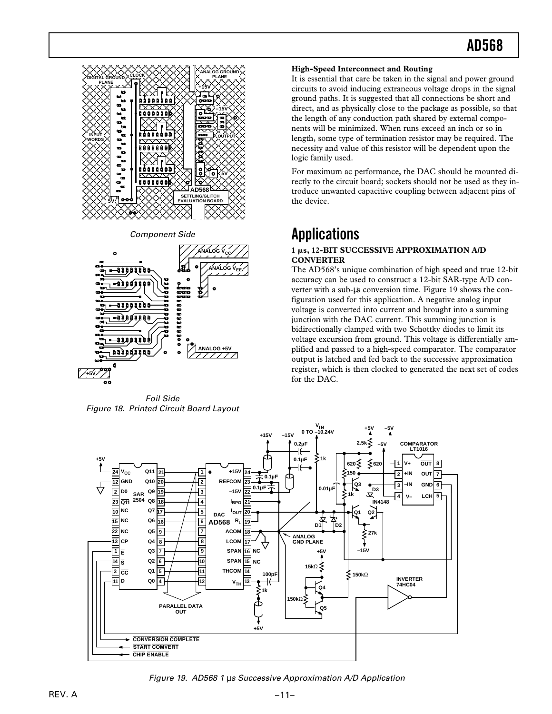

Component Side



Foil Side Figure 18. Printed Circuit Board Layout

#### **High-Speed Interconnect and Routing**

It is essential that care be taken in the signal and power ground circuits to avoid inducing extraneous voltage drops in the signal ground paths. It is suggested that all connections be short and direct, and as physically close to the package as possible, so that the length of any conduction path shared by external components will be minimized. When runs exceed an inch or so in length, some type of termination resistor may be required. The necessity and value of this resistor will be dependent upon the logic family used.

For maximum ac performance, the DAC should be mounted directly to the circuit board; sockets should not be used as they introduce unwanted capacitive coupling between adjacent pins of the device.

### **Applications**

#### **1** m**s, 12-BIT SUCCESSIVE APPROXIMATION A/D CONVERTER**

The AD568's unique combination of high speed and true 12-bit accuracy can be used to construct a 12-bit SAR-type A/D converter with a sub-µs conversion time. Figure 19 shows the configuration used for this application. A negative analog input voltage is converted into current and brought into a summing junction with the DAC current. This summing junction is bidirectionally clamped with two Schottky diodes to limit its voltage excursion from ground. This voltage is differentially amplified and passed to a high-speed comparator. The comparator output is latched and fed back to the successive approximation register, which is then clocked to generated the next set of codes for the DAC.



Figure 19. AD568 1 µs Successive Approximation A/D Application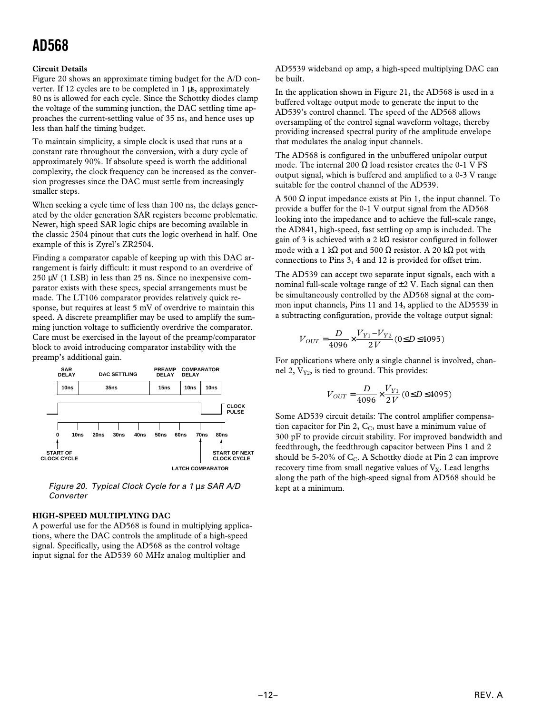#### **Circuit Details**

Figure 20 shows an approximate timing budget for the A/D converter. If 12 cycles are to be completed in 1 µs, approximately 80 ns is allowed for each cycle. Since the Schottky diodes clamp the voltage of the summing junction, the DAC settling time approaches the current-settling value of 35 ns, and hence uses up less than half the timing budget.

To maintain simplicity, a simple clock is used that runs at a constant rate throughout the conversion, with a duty cycle of approximately 90%. If absolute speed is worth the additional complexity, the clock frequency can be increased as the conversion progresses since the DAC must settle from increasingly smaller steps.

When seeking a cycle time of less than 100 ns, the delays generated by the older generation SAR registers become problematic. Newer, high speed SAR logic chips are becoming available in the classic 2504 pinout that cuts the logic overhead in half. One example of this is Zyrel's ZR2504.

Finding a comparator capable of keeping up with this DAC arrangement is fairly difficult: it must respond to an overdrive of 250 µV (1 LSB) in less than 25 ns. Since no inexpensive comparator exists with these specs, special arrangements must be made. The LT106 comparator provides relatively quick response, but requires at least 5 mV of overdrive to maintain this speed. A discrete preamplifier may be used to amplify the summing junction voltage to sufficiently overdrive the comparator. Care must be exercised in the layout of the preamp/comparator block to avoid introducing comparator instability with the preamp's additional gain.



 Figure 20. Typical Clock Cycle for a 1 µs SAR A/D **Converter** 

#### **HIGH-SPEED MULTIPLYING DAC**

A powerful use for the AD568 is found in multiplying applications, where the DAC controls the amplitude of a high-speed signal. Specifically, using the AD568 as the control voltage input signal for the AD539 60 MHz analog multiplier and

AD5539 wideband op amp, a high-speed multiplying DAC can be built.

In the application shown in Figure 21, the AD568 is used in a buffered voltage output mode to generate the input to the AD539's control channel. The speed of the AD568 allows oversampling of the control signal waveform voltage, thereby providing increased spectral purity of the amplitude envelope that modulates the analog input channels.

The AD568 is configured in the unbuffered unipolar output mode. The internal 200  $\Omega$  load resistor creates the 0-1 V FS output signal, which is buffered and amplified to a 0-3 V range suitable for the control channel of the AD539.

A 500 Ω input impedance exists at Pin 1, the input channel. To provide a buffer for the 0-1 V output signal from the AD568 looking into the impedance and to achieve the full-scale range, the AD841, high-speed, fast settling op amp is included. The gain of 3 is achieved with a 2 kΩ resistor configured in follower mode with a 1 kΩ pot and 500 Ω resistor. A 20 kΩ pot with connections to Pins 3, 4 and 12 is provided for offset trim.

The AD539 can accept two separate input signals, each with a nominal full-scale voltage range of  $\pm 2$  V. Each signal can then be simultaneously controlled by the AD568 signal at the common input channels, Pins 11 and 14, applied to the AD5539 in a subtracting configuration, provide the voltage output signal:

$$
V_{OUT} = \frac{D}{4096} \times \frac{V_{Y1} - V_{Y2}}{2V} (0 \le D \le 4095)
$$

For applications where only a single channel is involved, channel 2,  $V_{Y2}$ , is tied to ground. This provides:

$$
V_{OUT} = \frac{D}{4096} \times \frac{V_{Y1}}{2V} (0 \le D \le 4095)
$$

Some AD539 circuit details: The control amplifier compensation capacitor for Pin 2,  $C_C$ , must have a minimum value of 300 pF to provide circuit stability. For improved bandwidth and feedthrough, the feedthrough capacitor between Pins 1 and 2 should be 5-20% of  $C_C$ . A Schottky diode at Pin 2 can improve recovery time from small negative values of  $V_X$ . Lead lengths along the path of the high-speed signal from AD568 should be kept at a minimum.